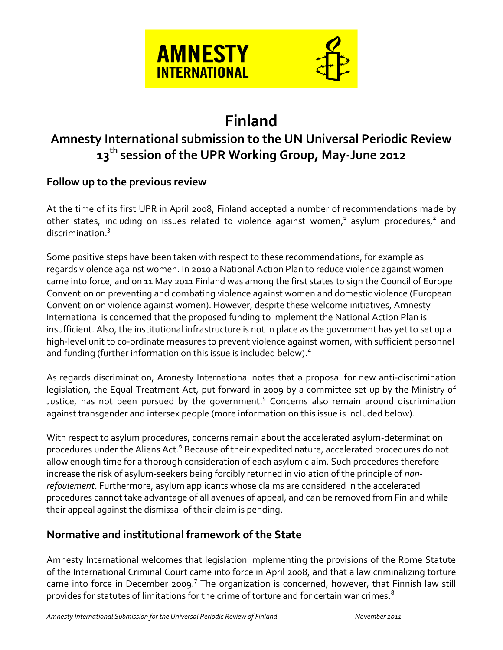

# **Finland**

## **Amnesty International submission to the UN Universal Periodic Review 13th session of the UPR Working Group, May-June 2012**

## **Follow up to the previous review**

At the time of its first UPR in April 2008, Finland accepted a number of recommendations made by other states, including on issues related to violence against women, $^1$  asylum procedures, $^2$  and discrimination.<sup>3</sup>

Some positive steps have been taken with respect to these recommendations, for example as regards violence against women. In 2010 a National Action Plan to reduce violence against women came into force, and on 11 May 2011 Finland was among the first states to sign the Council of Europe Convention on preventing and combating violence against women and domestic violence (European Convention on violence against women). However, despite these welcome initiatives, Amnesty International is concerned that the proposed funding to implement the National Action Plan is insufficient. Also, the institutional infrastructure is not in place as the government has yet to set up a high-level unit to co-ordinate measures to prevent violence against women, with sufficient personnel and funding (further information on this issue is included below).<sup>4</sup>

As regards discrimination, Amnesty International notes that a proposal for new anti-discrimination legislation, the Equal Treatment Act, put forward in 2009 by a committee set up by the Ministry of Justice, has not been pursued by the government.<sup>5</sup> Concerns also remain around discrimination against transgender and intersex people (more information on this issue is included below).

With respect to asylum procedures, concerns remain about the accelerated asylum-determination procedures under the Aliens Act.<sup>6</sup> Because of their expedited nature, accelerated procedures do not allow enough time for a thorough consideration of each asylum claim. Such procedures therefore increase the risk of asylum-seekers being forcibly returned in violation of the principle of *nonrefoulement*. Furthermore, asylum applicants whose claims are considered in the accelerated procedures cannot take advantage of all avenues of appeal, and can be removed from Finland while their appeal against the dismissal of their claim is pending.

## **Normative and institutional framework of the State**

Amnesty International welcomes that legislation implementing the provisions of the Rome Statute of the International Criminal Court came into force in April 2008, and that a law criminalizing torture came into force in December 2009.<sup>7</sup> The organization is concerned, however, that Finnish law still provides for statutes of limitations for the crime of torture and for certain war crimes.<sup>8</sup>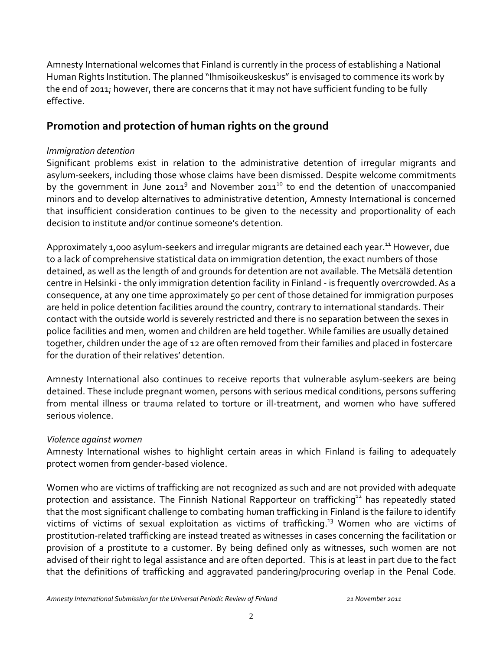Amnesty International welcomes that Finland is currently in the process of establishing a National Human Rights Institution. The planned "Ihmisoikeuskeskus" is envisaged to commence its work by the end of 2011; however, there are concerns that it may not have sufficient funding to be fully effective.

## **Promotion and protection of human rights on the ground**

#### *Immigration detention*

Significant problems exist in relation to the administrative detention of irregular migrants and asylum-seekers, including those whose claims have been dismissed. Despite welcome commitments by the government in June 2011<sup>9</sup> and November 2011<sup>10</sup> to end the detention of unaccompanied minors and to develop alternatives to administrative detention, Amnesty International is concerned that insufficient consideration continues to be given to the necessity and proportionality of each decision to institute and/or continue someone's detention.

Approximately 1,000 asylum-seekers and irregular migrants are detained each year.<sup>11</sup> However, due to a lack of comprehensive statistical data on immigration detention, the exact numbers of those detained, as well as the length of and grounds for detention are not available. The Metsälä detention centre in Helsinki - the only immigration detention facility in Finland - is frequently overcrowded.As a consequence, at any one time approximately 50 per cent of those detained for immigration purposes are held in police detention facilities around the country, contrary to international standards. Their contact with the outside world is severely restricted and there is no separation between the sexes in police facilities and men, women and children are held together. While families are usually detained together, children under the age of 12 are often removed from their families and placed in fostercare for the duration of their relatives' detention.

Amnesty International also continues to receive reports that vulnerable asylum-seekers are being detained. These include pregnant women, persons with serious medical conditions, persons suffering from mental illness or trauma related to torture or ill-treatment, and women who have suffered serious violence.

### *Violence against women*

Amnesty International wishes to highlight certain areas in which Finland is failing to adequately protect women from gender-based violence.

Women who are victims of trafficking are not recognized as such and are not provided with adequate protection and assistance. The Finnish National Rapporteur on trafficking<sup>12</sup> has repeatedly stated that the most significant challenge to combating human trafficking in Finland is the failure to identify victims of victims of sexual exploitation as victims of trafficking. <sup>13</sup> Women who are victims of prostitution-related trafficking are instead treated as witnesses in cases concerning the facilitation or provision of a [prostitute](file:///C:/Documents%20and%20Settings/awyss/wiki/Prostitute) to a customer. By being defined only as witnesses, such women are not advised of their right to legal assistance and are often deported. This is at least in part due to the fact that the definitions of trafficking and aggravated pandering/procuring overlap in the Penal Code.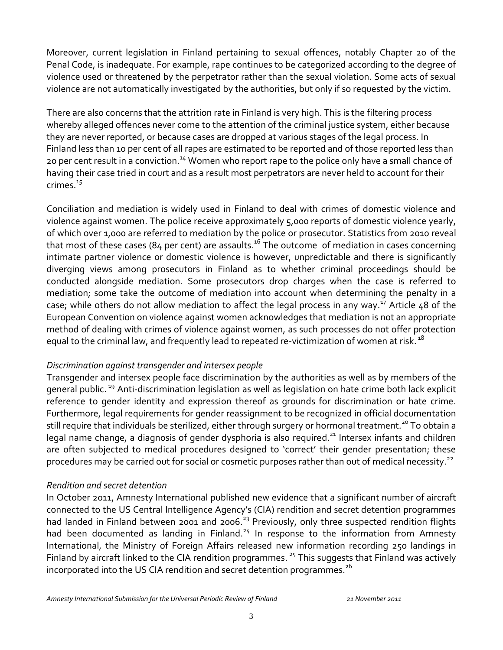Moreover, current legislation in Finland pertaining to sexual offences, notably Chapter 20 of the Penal Code, is inadequate. For example, rape continues to be categorized according to the degree of violence used or threatened by the perpetrator rather than the sexual violation. Some acts of sexual violence are not automatically investigated by the authorities, but only if so requested by the victim.

There are also concerns that the attrition rate in Finland is very high. This is the filtering process whereby alleged offences never come to the attention of the criminal justice system, either because they are never reported, or because cases are dropped at various stages of the legal process. In Finland less than 10 per cent of all rapes are estimated to be reported and of those reported less than 20 per cent result in a conviction.<sup>14</sup> Women who report rape to the police only have a small chance of having their case tried in court and as a result most perpetrators are never held to account for their crimes. $15$ 

Conciliation and mediation is widely used in Finland to deal with crimes of domestic violence and violence against women. The police receive approximately 5,000 reports of domestic violence yearly, of which over 1,000 are referred to mediation by the police or prosecutor. Statistics from 2010 reveal that most of these cases (84 per cent) are assaults.<sup>16</sup> The outcome  $\,$  of mediation in cases concerning intimate partner violence or domestic violence is however, unpredictable and there is significantly diverging views among prosecutors in Finland as to whether criminal proceedings should be conducted alongside mediation. Some prosecutors drop charges when the case is referred to mediation; some take the outcome of mediation into account when determining the penalty in a case; while others do not allow mediation to affect the legal process in any way.<sup>17</sup> Article 48 of the European Convention on violence against women acknowledges that mediation is not an appropriate method of dealing with crimes of violence against women, as such processes do not offer protection equal to the criminal law, and frequently lead to repeated re-victimization of women at risk.<sup>18</sup>

#### *Discrimination against transgender and intersex people*

Transgender and intersex people face discrimination by the authorities as well as by members of the general public. <sup>19</sup> Anti-discrimination legislation as well as legislation on hate crime both lack explicit reference to gender identity and expression thereof as grounds for discrimination or hate crime. Furthermore, legal requirements for gender reassignment to be recognized in official documentation still require that individuals be sterilized, either through surgery or hormonal treatment.<sup>20</sup> To obtain a legal name change, a diagnosis of gender dysphoria is also required.<sup>21</sup> Intersex infants and children are often subjected to medical procedures designed to 'correct' their gender presentation; these procedures may be carried out for social or cosmetic purposes rather than out of medical necessity.<sup>22</sup>

#### *Rendition and secret detention*

In October 2011, Amnesty International published new evidence that a significant number of aircraft connected to the US Central Intelligence Agency's (CIA) rendition and secret detention programmes had landed in Finland between 2001 and 2006.<sup>23</sup> Previously, only three suspected rendition flights had been documented as landing in Finland.<sup>24</sup> In response to the information from Amnesty International, the Ministry of Foreign Affairs released new information recording 250 landings in Finland by aircraft linked to the CIA rendition programmes.<sup>25</sup> This suggests that Finland was actively incorporated into the US CIA rendition and secret detention programmes. $^{26}$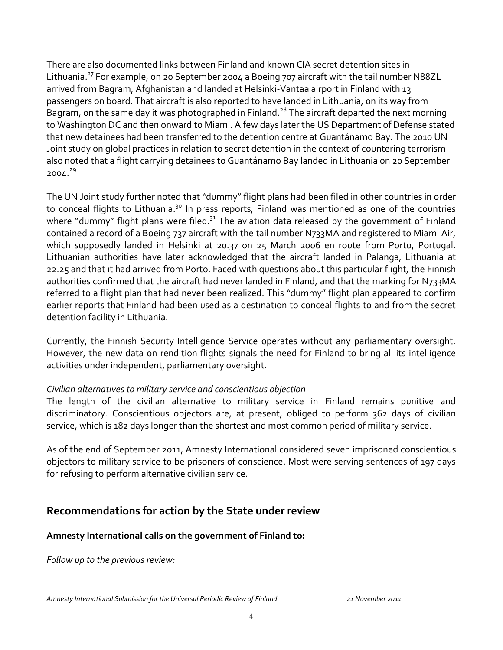There are also documented links between Finland and known CIA secret detention sites in Lithuania.<sup>27</sup> For example, on 20 September 2004 a Boeing 707 aircraft with the tail number N88ZL arrived from Bagram, Afghanistan and landed at Helsinki-Vantaa airport in Finland with 13 passengers on board. That aircraft is also reported to have landed in Lithuania, on its way from Bagram, on the same day it was photographed in Finland.<sup>28</sup> The aircraft departed the next morning to Washington DC and then onward to Miami. A few days later the US Department of Defense stated that new detainees had been transferred to the detention centre at Guantánamo Bay. The 2010 UN Joint study on global practices in relation to secret detention in the context of countering terrorism also noted that a flight carrying detainees to Guantánamo Bay landed in Lithuania on 20 September 2004. 29

The UN Joint study further noted that "dummy" flight plans had been filed in other countries in order to conceal flights to Lithuania.<sup>30</sup> In press reports, Finland was mentioned as one of the countries where "dummy" flight plans were filed. $31$  The aviation data released by the government of Finland contained a record of a Boeing 737 aircraft with the tail number N733MA and registered to Miami Air, which supposedly landed in Helsinki at 20.37 on 25 March 2006 en route from Porto, Portugal. Lithuanian authorities have later acknowledged that the aircraft landed in Palanga, Lithuania at 22.25 and that it had arrived from Porto. Faced with questions about this particular flight, the Finnish authorities confirmed that the aircraft had never landed in Finland, and that the marking for N733MA referred to a flight plan that had never been realized. This "dummy" flight plan appeared to confirm earlier reports that Finland had been used as a destination to conceal flights to and from the secret detention facility in Lithuania.

Currently, the Finnish Security Intelligence Service operates without any parliamentary oversight. However, the new data on rendition flights signals the need for Finland to bring all its intelligence activities under independent, parliamentary oversight.

#### *Civilian alternatives to military service and conscientious objection*

The length of the civilian alternative to military service in Finland remains punitive and discriminatory. Conscientious objectors are, at present, obliged to perform 362 days of civilian service, which is 182 days longer than the shortest and most common period of military service.

As of the end of September 2011, Amnesty International considered seven imprisoned conscientious objectors to military service to be prisoners of conscience. Most were serving sentences of 197 days for refusing to perform alternative civilian service.

## **Recommendations for action by the State under review**

#### **Amnesty International calls on the government of Finland to:**

*Follow up to the previous review:*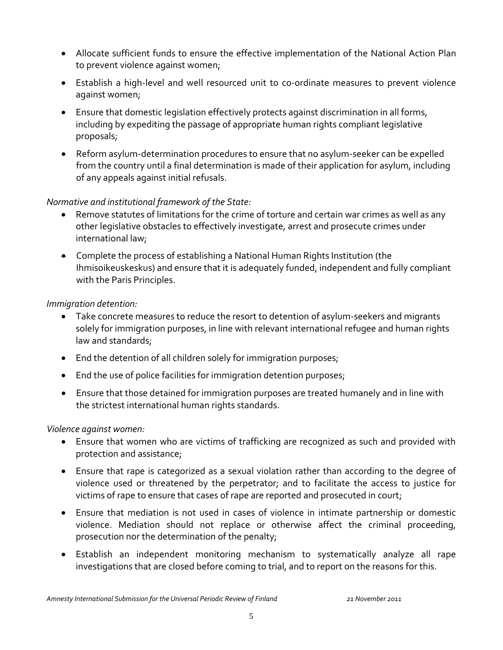- Allocate sufficient funds to ensure the effective implementation of the National Action Plan to prevent violence against women;
- Establish a high-level and well resourced unit to co-ordinate measures to prevent violence against women;
- Ensure that domestic legislation effectively protects against discrimination in all forms, including by expediting the passage of appropriate human rights compliant legislative proposals;
- Reform asylum-determination procedures to ensure that no asylum-seeker can be expelled from the country until a final determination is made of their application for asylum, including of any appeals against initial refusals.

#### *Normative and institutional framework of the State:*

- Remove statutes of limitations for the crime of torture and certain war crimes as well as any other legislative obstacles to effectively investigate, arrest and prosecute crimes under international law;
- Complete the process of establishing a National Human Rights Institution (the Ihmisoikeuskeskus) and ensure that it is adequately funded, independent and fully compliant with the Paris Principles.

#### *Immigration detention:*

- Take concrete measures to reduce the resort to detention of asylum-seekers and migrants solely for immigration purposes, in line with relevant international refugee and human rights law and standards;
- End the detention of all children solely for immigration purposes;
- End the use of police facilities for immigration detention purposes;
- Ensure that those detained for immigration purposes are treated humanely and in line with the strictest international human rights standards.

#### *Violence against women:*

- Ensure that women who are victims of trafficking are recognized as such and provided with protection and assistance;
- Ensure that rape is categorized as a sexual violation rather than according to the degree of violence used or threatened by the perpetrator; and to facilitate the access to justice for victims of rape to ensure that cases of rape are reported and prosecuted in court;
- Ensure that mediation is not used in cases of violence in intimate partnership or domestic violence. Mediation should not replace or otherwise affect the criminal proceeding, prosecution nor the determination of the penalty;
- Establish an independent monitoring mechanism to systematically analyze all rape investigations that are closed before coming to trial, and to report on the reasons for this.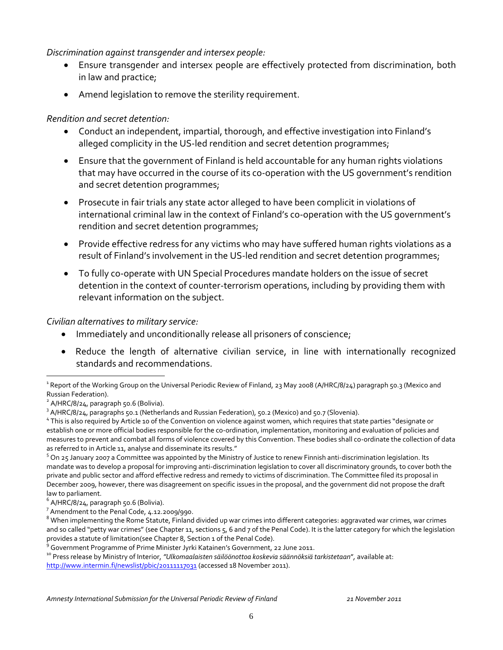*Discrimination against transgender and intersex people:*

- Ensure transgender and intersex people are effectively protected from discrimination, both in law and practice;
- Amend legislation to remove the sterility requirement.

#### *Rendition and secret detention:*

- Conduct an independent, impartial, thorough, and effective investigation into Finland's alleged complicity in the US-led rendition and secret detention programmes;
- Ensure that the government of Finland is held accountable for any human rights violations that may have occurred in the course of its co-operation with the US government's rendition and secret detention programmes;
- Prosecute in fair trials any state actor alleged to have been complicit in violations of international criminal law in the context of Finland's co-operation with the US government's rendition and secret detention programmes;
- Provide effective redress for any victims who may have suffered human rights violations as a result of Finland's involvement in the US-led rendition and secret detention programmes;
- To fully co-operate with UN Special Procedures mandate holders on the issue of secret detention in the context of counter-terrorism operations, including by providing them with relevant information on the subject.

#### *Civilian alternatives to military service:*

- Immediately and unconditionally release all prisoners of conscience;
- Reduce the length of alternative civilian service, in line with internationally recognized standards and recommendations.

 $\overline{a}$ 

<sup>10</sup> Press release by Ministry of Interior, *"Ulkomaalaisten säilöönottoa koskevia säännöksiä tarkistetaan*"*,* available at: <http://www.intermin.fi/newslist/pbic/20111117031> (accessed 18 November 2011).

<sup>&</sup>lt;sup>1</sup> Report of the Working Group on the Universal Periodic Review of Finland, 23 May 2008 (A/HRC/8/24) paragraph 50.3 (Mexico and Russian Federation).

<sup>&</sup>lt;sup>2</sup> A/HRC/8/24, paragraph 50.6 (Bolivia).

<sup>&</sup>lt;sup>3</sup> A/HRC/8/24, paragraphs 50.1 (Netherlands and Russian Federation), 50.2 (Mexico) and 50.7 (Slovenia).

<sup>&</sup>lt;sup>4</sup> This is also required by Article 10 of the Convention on violence against women, which requires that state parties "designate or establish one or more official bodies responsible for the co-ordination, implementation, monitoring and evaluation of policies and measures to prevent and combat all forms of violence covered by this Convention. These bodies shall co-ordinate the collection of data as referred to in Article 11, analyse and disseminate its results."

 $5$  On 25 January 2007 a Committee was appointed by the Ministry of Justice to renew Finnish anti-discrimination legislation. Its mandate was to develop a proposal for improving anti-discrimination legislation to cover all discriminatory grounds, to cover both the private and public sector and afford effective redress and remedy to victims of discrimination. The Committee filed its proposal in December 2009, however, there was disagreement on specific issues in the proposal, and the government did not propose the draft law to parliament.

 $^6$  A/HRC/8/24, paragraph 50.6 (Bolivia).

<sup>7</sup> Amendment to the Penal Code, 4.12.2009/990.

 $^8$  When implementing the Rome Statute, Finland divided up war crimes into different categories: aggravated war crimes, war crimes and so called "petty war crimes" (see Chapter 11, sections 5, 6 and 7 of the Penal Code). It is the latter category for which the legislation provides a statute of limitation(see Chapter 8, Section 1 of the Penal Code).

<sup>&</sup>lt;sup>9</sup> Government Programme of Prime Minister Jyrki Katainen's Government, 22 June 2011.